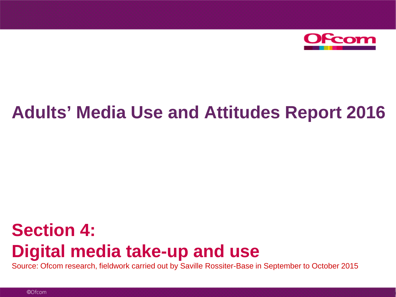

# **Adults' Media Use and Attitudes Report 2016**

# **Section 4: Digital media take-up and use**

Source: Ofcom research, fieldwork carried out by Saville Rossiter-Base in September to October 2015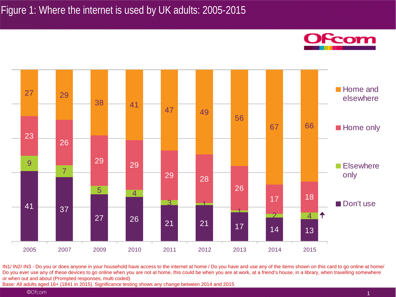



IN1/ IN2/ IN3 - Do you or does anyone in your household have access to the internet at home / Do you have and use any of the items shown on this card to go online at home/ Do you ever use any of these devices to go online when you are not at home, this could be when you are at work, at a friend's house, in a library, when travelling somewhere or when out and about (Prompted responses, multi coded)

Base: All adults aged 16+ (1841 in 2015). Significance testing shows any change between 2014 and 2015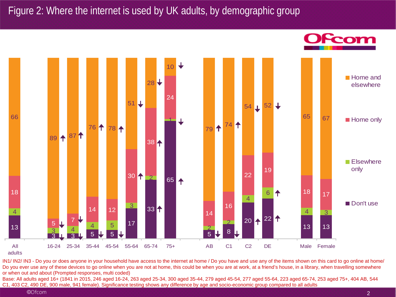#### Figure 2: Where the internet is used by UK adults, by demographic group

<u>`com</u>



IN1/ IN2/ IN3 - Do you or does anyone in your household have access to the internet at home / Do you have and use any of the items shown on this card to go online at home/ Do you ever use any of these devices to go online when you are not at home, this could be when you are at work, at a friend's house, in a library, when travelling somewhere or when out and about (Prompted responses, multi coded)

Base: All adults aged 16+ (1841 in 2015, 246 aged 16-24, 263 aged 25-34, 300 aged 35-44, 279 aged 45-54, 277 aged 55-64, 223 aged 65-74, 253 aged 75+, 404 AB, 544 C1, 403 C2, 490 DE, 900 male, 941 female). Significance testing shows any difference by age and socio-economic group compared to all adults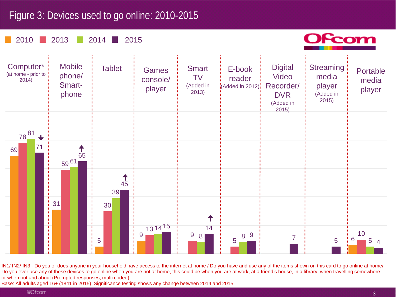### Figure 3: Devices used to go online: 2010-2015

2010 2013 2014 2015





IN1/ IN2/ IN3 - Do you or does anyone in your household have access to the internet at home / Do you have and use any of the items shown on this card to go online at home/ Do you ever use any of these devices to go online when you are not at home, this could be when you are at work, at a friend's house, in a library, when travelling somewhere or when out and about (Prompted responses, multi coded)

Base: All adults aged 16+ (1841 in 2015). Significance testing shows any change between 2014 and 2015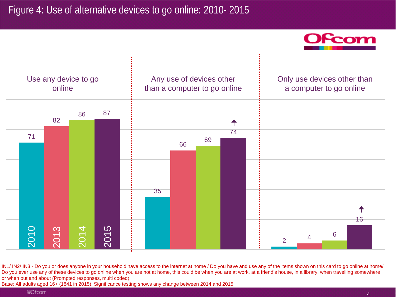



IN1/ IN2/ IN3 - Do you or does anyone in your household have access to the internet at home / Do you have and use any of the items shown on this card to go online at home/ Do you ever use any of these devices to go online when you are not at home, this could be when you are at work, at a friend's house, in a library, when travelling somewhere or when out and about (Prompted responses, multi coded)<br>Base: All adults aged 16+ (1841 in 2015). Significance testing shows any change between 2014 and 2015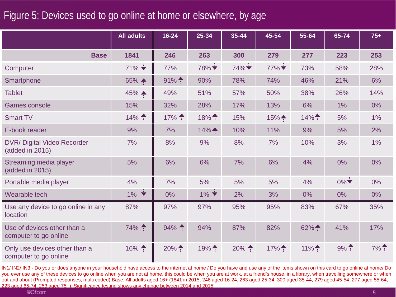# Figure 5: Devices used to go online at home or elsewhere, by age

|                                                        | <b>All adults</b>                         | 16-24                                     | $25 - 34$                                  | 35-44               | 45-54                                     | 55-64                                     | 65-74                           | $75+$                                  |
|--------------------------------------------------------|-------------------------------------------|-------------------------------------------|--------------------------------------------|---------------------|-------------------------------------------|-------------------------------------------|---------------------------------|----------------------------------------|
| <b>Base</b>                                            | 1841                                      | 246                                       | 263                                        | 300                 | 279                                       | 277                                       | 223                             | 253                                    |
| Computer                                               | $71\% \div$                               | 77%                                       | $78\%$                                     | $74\%$              | $77\%$                                    | 73%                                       | 58%                             | 28%                                    |
| Smartphone                                             | 65% ÷                                     | $91\%$ $\stackrel{\blacktriangle}{\cdot}$ | 90%                                        | 78%                 | 74%                                       | 46%                                       | 21%                             | 6%                                     |
| <b>Tablet</b>                                          | $45\%$ $\triangle$                        | 49%                                       | 51%                                        | 57%                 | 50%                                       | 38%                                       | 26%                             | 14%                                    |
| <b>Games console</b>                                   | 15%                                       | 32%                                       | 28%                                        | 17%                 | 13%                                       | 6%                                        | $1\%$                           | 0%                                     |
| <b>Smart TV</b>                                        | $14\%$ $\div$                             | $17\%$ $\stackrel{\triangle}{:}$          | $18\%$ :                                   | 15%                 | $15\%$ $\triangle$                        | $14\%$ :                                  | 5%                              | 1%                                     |
| E-book reader                                          | 9%                                        | 7%                                        | $14\%$ $\triangle$                         | 10%                 | 11%                                       | 9%                                        | 5%                              | 2%                                     |
| <b>DVR/ Digital Video Recorder</b><br>(added in 2015)  | 7%                                        | 8%                                        | 9%                                         | 8%                  | 7%                                        | 10%                                       | 3%                              | 1%                                     |
| Streaming media player<br>(added in 2015)              | 5%                                        | 6%                                        | 6%                                         | 7%                  | 6%                                        | 4%                                        | 0%                              | 0%                                     |
| Portable media player                                  | 4%                                        | 7%                                        | 5%                                         | 5%                  | 5%                                        | 4%                                        | $0\%$ $\star$                   | 0%                                     |
| Wearable tech                                          | $\ddotmark$<br>$1\%$                      | 0%                                        | $1\%$ $\star$                              | 2%                  | 3%                                        | 0%                                        | 0%                              | 0%                                     |
| Use any device to go online in any<br>location         | 87%                                       | 97%                                       | 97%                                        | 95%                 | 95%                                       | 83%                                       | 67%                             | 35%                                    |
| Use of devices other than a<br>computer to go online   | $74\%$ $\uparrow$                         | $94\%$ $\uparrow$                         | 94%                                        | 87%                 | 82%                                       | $62\%$ $\stackrel{\blacktriangle}{\cdot}$ | 41%                             | 17%                                    |
| Only use devices other than a<br>computer to go online | $16\%$ $\stackrel{\blacktriangle}{\cdot}$ | $20\%$ $\stackrel{\blacktriangle}{\cdot}$ | $19\%$ <sup><math>\triangle</math></sup> : | $20\%$ $\triangleq$ | $17\%$ $\stackrel{\blacktriangle}{\cdot}$ | $11\%$ <sup><math>\uparrow</math></sup>   | $9\%$ $\stackrel{\triangle}{.}$ | $7\%$ <sup><math>\uparrow</math></sup> |

IN1/ IN2/ IN3 - Do you or does anyone in your household have access to the internet at home / Do you have and use any of the items shown on this card to go online at home/ Do you ever use any of these devices to go online when you are not at home, this could be when you are at work, at a friend's house, in a library, when travelling somewhere or when out and about (Prompted responses, multi coded).Base: All adults aged 16+ (1841 in 2015, 246 aged 16-24, 263 aged 25-34, 300 aged 35-44, 279 aged 45-54, 277 aged 55-64, 223 aged 65-74, 253 aged 75+). Significance testing shows any change between 2014 and 2015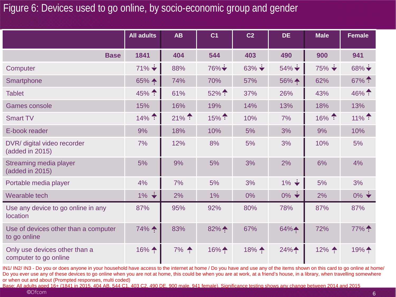## Figure 6: Devices used to go online, by socio-economic group and gender

|                                                        | <b>All adults</b>                     | <b>AB</b>          | C <sub>1</sub>                   | C <sub>2</sub> | <b>DE</b>                                | <b>Male</b>         | <b>Female</b>                             |
|--------------------------------------------------------|---------------------------------------|--------------------|----------------------------------|----------------|------------------------------------------|---------------------|-------------------------------------------|
| <b>Base</b>                                            | 1841                                  | 404                | 544                              | 403            | 490                                      | 900                 | 941                                       |
| Computer                                               | $71\% \div$                           | 88%                | $76\% \dot{\star}$               | $63\% \div$    | $54\% \div$                              | $75\% \div$         | $68\% \div$                               |
| Smartphone                                             | $65\% +$                              | 74%                | 70%                              | 57%            | 56% <del>4</del>                         | 62%                 | $67\%$ :                                  |
| <b>Tablet</b>                                          | $45\%$ $\stackrel{\blacktriangle}{:}$ | 61%                | $52\%$ $\stackrel{\triangle}{.}$ | 37%            | 26%                                      | 43%                 | $46\%$ :                                  |
| <b>Games console</b>                                   | 15%                                   | 16%                | 19%                              | 14%            | 13%                                      | 18%                 | 13%                                       |
| <b>Smart TV</b>                                        | $14\%$ :                              | $21\%$ :           | $15\%$ :                         | 10%            | 7%                                       | $16\%$ :            | $11\%$ :                                  |
| E-book reader                                          | 9%                                    | 18%                | 10%                              | 5%             | 3%                                       | 9%                  | 10%                                       |
| DVR/ digital video recorder<br>(added in 2015)         | 7%                                    | 12%                | 8%                               | 5%             | 3%                                       | 10%                 | 5%                                        |
| Streaming media player<br>(added in 2015)              | 5%                                    | 9%                 | 5%                               | 3%             | 2%                                       | 6%                  | 4%                                        |
| Portable media player                                  | 4%                                    | 7%                 | 5%                               | 3%             | $1\% \div$                               | 5%                  | 3%                                        |
| Wearable tech                                          | $1\% \div$                            | 2%                 | 1%                               | 0%             | $0\% \div$                               | 2%                  | $0\% \div$                                |
| Use any device to go online in any<br><b>location</b>  | 87%                                   | 95%                | 92%                              | 80%            | 78%                                      | 87%                 | 87%                                       |
| Use of devices other than a computer<br>to go online   | $74\%$ $\triangleq$                   | 83%                | $82\%$ $\triangle$               | 67%            | 64% <del>4</del>                         | 72%                 | $77\%$ $\stackrel{\blacktriangle}{\cdot}$ |
| Only use devices other than a<br>computer to go online | $16\% +$                              | $7\%$ $\triangleq$ | $16\%$ $\triangle$               | $18\% +$       | $24\%$ <sup><math>\triangle</math></sup> | $12\%$ $\triangleq$ | $19\%$ $\overset{\blacktriangle}{\cdot}$  |

IN1/ IN2/ IN3 - Do you or does anyone in your household have access to the internet at home / Do you have and use any of the items shown on this card to go online at home/ Do you ever use any of these devices to go online when you are not at home, this could be when you are at work, at a friend's house, in a library, when travelling somewhere or when out and about (Prompted responses, multi coded)

Base: All adults aged 16+ (1841 in 2015, 404 AB, 544 C1, 403 C2, 490 DE, 900 male, 941 female). Significance testing shows any change between 2014 and 2015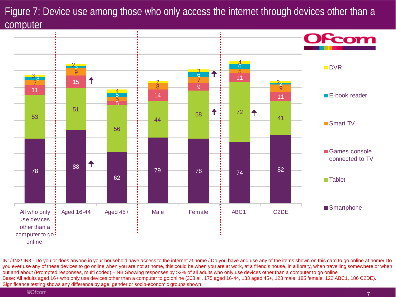# Figure 7: Device use among those who only access the internet through devices other than a computer



IN1/ IN2/ IN3 - Do you or does anyone in your household have access to the internet at home / Do you have and use any of the items shown on this card to go online at home/ Do you ever use any of these devices to go online when you are not at home, this could be when you are at work, at a friend's house, in a library, when travelling somewhere or when out and about (Prompted responses, multi coded) – NB Showing responses by >2% of all adults who only use devices other than a computer to go online Base: All adults aged 16+ who only use devices other than a computer to go online (308 all, 175 aged 16-44, 133 aged 45+, 123 male, 185 female, 122 ABC1, 186 C2DE). Significance testing shows any difference by age, gender or socio-economic groups shown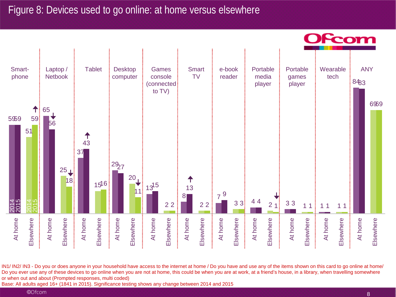#### Figure 8: Devices used to go online: at home versus elsewhere



IN1/ IN2/ IN3 - Do you or does anyone in your household have access to the internet at home / Do you have and use any of the items shown on this card to go online at home/ Do you ever use any of these devices to go online when you are not at home, this could be when you are at work, at a friend's house, in a library, when travelling somewhere or when out and about (Prompted responses, multi coded)

Base: All adults aged 16+ (1841 in 2015). Significance testing shows any change between 2014 and 2015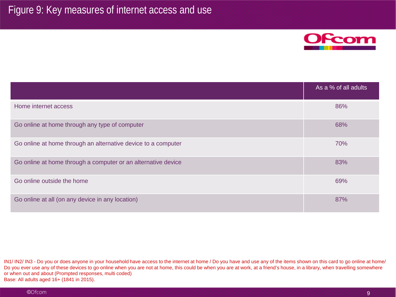

|                                                               | As a % of all adults |
|---------------------------------------------------------------|----------------------|
| Home internet access                                          | 86%                  |
| Go online at home through any type of computer                | 68%                  |
| Go online at home through an alternative device to a computer | 70%                  |
| Go online at home through a computer or an alternative device | 83%                  |
| Go online outside the home                                    | 69%                  |
| Go online at all (on any device in any location)              | 87%                  |

IN1/ IN2/ IN3 - Do you or does anyone in your household have access to the internet at home / Do you have and use any of the items shown on this card to go online at home/ Do you ever use any of these devices to go online when you are not at home, this could be when you are at work, at a friend's house, in a library, when travelling somewhere or when out and about (Prompted responses, multi coded) Base: All adults aged 16+ (1841 in 2015).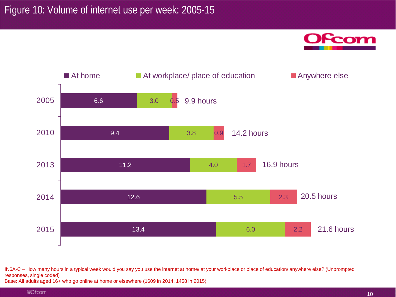



IN6A-C – How many hours in a typical week would you say you use the internet at home/ at your workplace or place of education/ anywhere else? (Unprompted responses, single coded)

Base: All adults aged 16+ who go online at home or elsewhere (1609 in 2014, 1458 in 2015)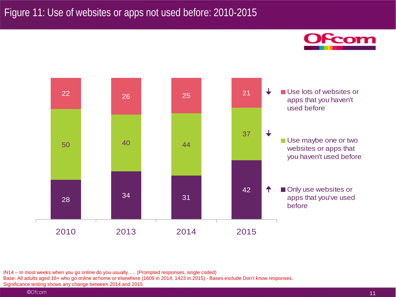



IN14 – In most weeks when you go online do you usually….. (Prompted responses, single coded)

Base: All adults aged 16+ who go online at home or elsewhere (1609 in 2014, 1423 in 2015) - Bases exclude Don't know responses. Significance testing shows any change between 2014 and 2015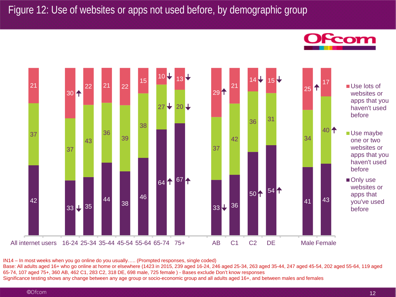### Figure 12: Use of websites or apps not used before, by demographic group





IN14 – In most weeks when you go online do you usually….. (Prompted responses, single coded)

Base: All adults aged 16+ who go online at home or elsewhere (1423 in 2015, 239 aged 16-24, 246 aged 25-34, 263 aged 35-44, 247 aged 45-54, 202 aged 55-64, 119 aged 65-74, 107 aged 75+, 360 AB, 462 C1, 283 C2, 318 DE, 698 male, 725 female ) - Bases exclude Don't know responses Significance testing shows any change between any age group or socio-economic group and all adults aged 16+, and between males and females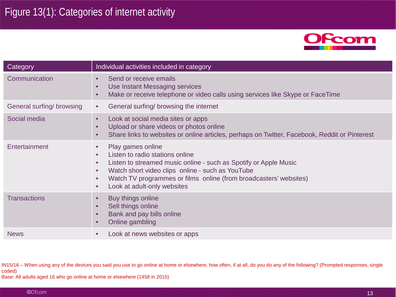

| Category                 | Individual activities included in category                                                                                                                                                                                                                                                                              |  |  |  |  |  |  |
|--------------------------|-------------------------------------------------------------------------------------------------------------------------------------------------------------------------------------------------------------------------------------------------------------------------------------------------------------------------|--|--|--|--|--|--|
| Communication            | Send or receive emails<br>$\bullet$<br>Use Instant Messaging services<br>$\bullet$<br>Make or receive telephone or video calls using services like Skype or FaceTime                                                                                                                                                    |  |  |  |  |  |  |
| General surfing/browsing | General surfing/browsing the internet                                                                                                                                                                                                                                                                                   |  |  |  |  |  |  |
| Social media             | Look at social media sites or apps<br>$\bullet$<br>Upload or share videos or photos online<br>Share links to websites or online articles, perhaps on Twitter, Facebook, Reddit or Pinterest                                                                                                                             |  |  |  |  |  |  |
| Entertainment            | Play games online<br>Listen to radio stations online<br>Listen to streamed music online - such as Spotify or Apple Music<br>$\bullet$<br>Watch short video clips online - such as YouTube<br>$\bullet$<br>Watch TV programmes or films online (from broadcasters' websites)<br>Look at adult-only websites<br>$\bullet$ |  |  |  |  |  |  |
| <b>Transactions</b>      | Buy things online<br>Sell things online<br>Bank and pay bills online<br>Online gambling                                                                                                                                                                                                                                 |  |  |  |  |  |  |
| <b>News</b>              | Look at news websites or apps                                                                                                                                                                                                                                                                                           |  |  |  |  |  |  |

IN15/16 – When using any of the devices you said you use to go online at home or elsewhere, how often, if at all, do you do any of the following? (Prompted responses, single coded)

Base: All adults aged 16 who go online at home or elsewhere (1458 in 2015)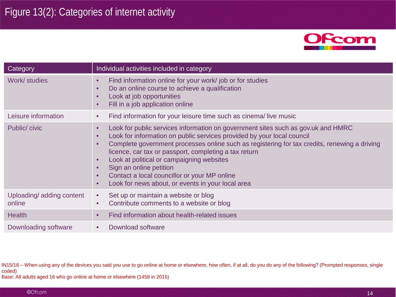

| Category                           | Individual activities included in category                                                                                                                                                                                                                                                                                                                                                                                                                                                                                                                        |
|------------------------------------|-------------------------------------------------------------------------------------------------------------------------------------------------------------------------------------------------------------------------------------------------------------------------------------------------------------------------------------------------------------------------------------------------------------------------------------------------------------------------------------------------------------------------------------------------------------------|
| Work/ studies                      | Find information online for your work/ job or for studies<br>$\bullet$<br>Do an online course to achieve a qualification<br>$\bullet$<br>Look at job opportunities<br>$\bullet$<br>Fill in a job application online<br>$\bullet$                                                                                                                                                                                                                                                                                                                                  |
| Leisure information                | Find information for your leisure time such as cinema/live music<br>$\bullet$                                                                                                                                                                                                                                                                                                                                                                                                                                                                                     |
| Public/ civic                      | Look for public services information on government sites such as gov.uk and HMRC<br>$\bullet$<br>Look for information on public services provided by your local council<br>$\bullet$<br>Complete government processes online such as registering for tax credits, renewing a driving<br>$\bullet$<br>licence, car tax or passport, completing a tax return<br>Look at political or campaigning websites<br>$\bullet$<br>Sign an online petition<br>Contact a local councillor or your MP online<br>$\bullet$<br>Look for news about, or events in your local area |
| Uploading/adding content<br>online | Set up or maintain a website or blog<br>$\bullet$<br>Contribute comments to a website or blog<br>$\bullet$                                                                                                                                                                                                                                                                                                                                                                                                                                                        |
| <b>Health</b>                      | Find information about health-related issues<br>$\bullet$                                                                                                                                                                                                                                                                                                                                                                                                                                                                                                         |
| Downloading software               | Download software                                                                                                                                                                                                                                                                                                                                                                                                                                                                                                                                                 |

IN15/16 – When using any of the devices you said you use to go online at home or elsewhere, how often, if at all, do you do any of the following? (Prompted responses, single coded)

Base: All adults aged 16 who go online at home or elsewhere (1458 in 2015)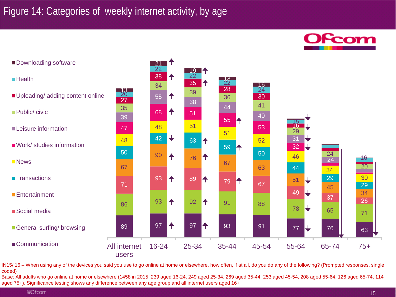



IN15/ 16 – When using any of the devices you said you use to go online at home or elsewhere, how often, if at all, do you do any of the following? (Prompted responses, single coded)

Base: All adults who go online at home or elsewhere (1458 in 2015, 239 aged 16-24, 249 aged 25-34, 269 aged 35-44, 253 aged 45-54, 208 aged 55-64, 126 aged 65-74, 114 aged 75+). Significance testing shows any difference between any age group and all internet users aged 16+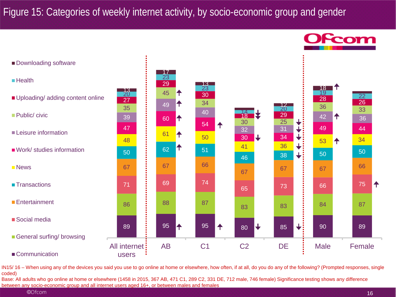# Figure 15: Categories of weekly internet activity, by socio-economic group and gender



IN15/ 16 – When using any of the devices you said you use to go online at home or elsewhere, how often, if at all, do you do any of the following? (Prompted responses, single coded)

Base: All adults who go online at home or elsewhere (1458 in 2015, 367 AB, 471 C1, 289 C2, 331 DE, 712 male, 746 female) Significance testing shows any difference between any socio-economic group and all internet users aged 16+, or between males and females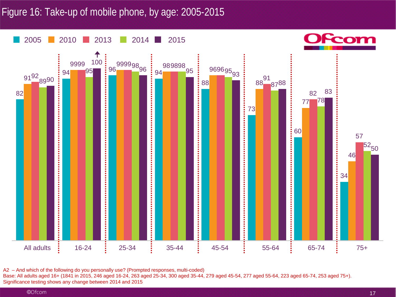## Figure 16: Take-up of mobile phone, by age: 2005-2015



A2 – And which of the following do you personally use? (Prompted responses, multi-coded)

Base: All adults aged 16+ (1841 in 2015, 246 aged 16-24, 263 aged 25-34, 300 aged 35-44, 279 aged 45-54, 277 aged 55-64, 223 aged 65-74, 253 aged 75+). Significance testing shows any change between 2014 and 2015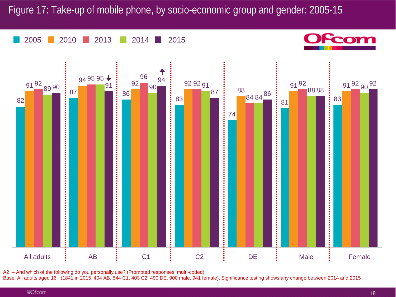### Figure 17: Take-up of mobile phone, by socio-economic group and gender: 2005-15



A2 – And which of the following do you personally use? (Prompted responses, multi-coded)

Base: All adults aged 16+ (1841 in 2015, 404 AB, 544 C1, 403 C2, 490 DE, 900 male, 941 female). Significance testing shows any change between 2014 and 2015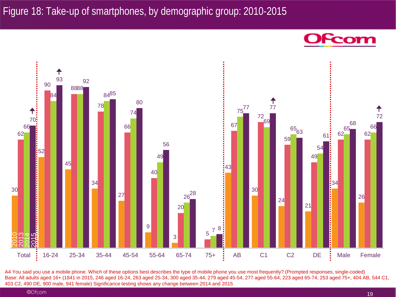## Figure 18: Take-up of smartphones, by demographic group: 2010-2015

Fcom



A4 You said you use a mobile phone. Which of these options best describes the type of mobile phone you use most frequently? (Prompted responses, single-coded) Base: All adults aged 16+ (1841 in 2015, 246 aged 16-24, 263 aged 25-34, 300 aged 35-44, 279 aged 45-54, 277 aged 55-64, 223 aged 65-74, 253 aged 75+, 404 AB, 544 C1, 403 C2, 490 DE, 900 male, 941 female) Significance testing shows any change between 2014 and 2015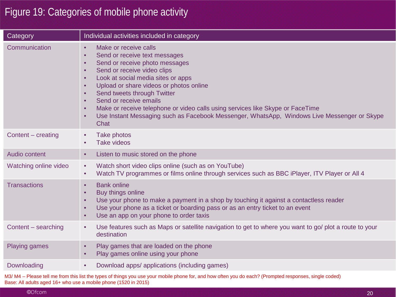# Figure 19: Categories of mobile phone activity

| Category              | Individual activities included in category                                                                                                                                                                                                                                                                                                                                                                                                                                                                                                                                                   |
|-----------------------|----------------------------------------------------------------------------------------------------------------------------------------------------------------------------------------------------------------------------------------------------------------------------------------------------------------------------------------------------------------------------------------------------------------------------------------------------------------------------------------------------------------------------------------------------------------------------------------------|
| Communication         | Make or receive calls<br>$\bullet$<br>Send or receive text messages<br>$\bullet$<br>Send or receive photo messages<br>$\bullet$<br>Send or receive video clips<br>$\bullet$<br>Look at social media sites or apps<br>$\bullet$<br>Upload or share videos or photos online<br>$\bullet$<br>Send tweets through Twitter<br>$\bullet$<br>Send or receive emails<br>$\bullet$<br>Make or receive telephone or video calls using services like Skype or FaceTime<br>$\bullet$<br>Use Instant Messaging such as Facebook Messenger, WhatsApp, Windows Live Messenger or Skype<br>$\bullet$<br>Chat |
| Content - creating    | Take photos<br><b>Take videos</b>                                                                                                                                                                                                                                                                                                                                                                                                                                                                                                                                                            |
| Audio content         | Listen to music stored on the phone<br>$\bullet$                                                                                                                                                                                                                                                                                                                                                                                                                                                                                                                                             |
| Watching online video | Watch short video clips online (such as on YouTube)<br>$\bullet$<br>Watch TV programmes or films online through services such as BBC iPlayer, ITV Player or All 4<br>$\bullet$                                                                                                                                                                                                                                                                                                                                                                                                               |
| <b>Transactions</b>   | <b>Bank online</b><br>$\bullet$<br>Buy things online<br>Use your phone to make a payment in a shop by touching it against a contactless reader<br>$\bullet$<br>Use your phone as a ticket or boarding pass or as an entry ticket to an event<br>Use an app on your phone to order taxis<br>$\bullet$                                                                                                                                                                                                                                                                                         |
| Content - searching   | Use features such as Maps or satellite navigation to get to where you want to go/ plot a route to your<br>$\bullet$<br>destination                                                                                                                                                                                                                                                                                                                                                                                                                                                           |
| Playing games         | Play games that are loaded on the phone<br>$\bullet$<br>Play games online using your phone<br>$\bullet$                                                                                                                                                                                                                                                                                                                                                                                                                                                                                      |
| Downloading           | Download apps/ applications (including games)<br>$\bullet$                                                                                                                                                                                                                                                                                                                                                                                                                                                                                                                                   |
|                       | M3/M4 - Please tell me from this list the types of things you use your mobile phone for, and how often you do each? (Prompted responses, single coded)                                                                                                                                                                                                                                                                                                                                                                                                                                       |

©Ofcom

Base: All adults aged 16+ who use a mobile phone (1520 in 2015)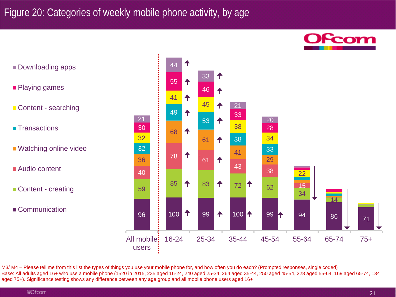↑ 44 Downloading apps 33 ← 55 ₳ ■ Playing games 46 ✦ 41  $\biguparrow$ 45 ✦ 21 Content - searching 49  $\biguparrow$ 33 21 53  $\biguparrow$ 20 38 30 28 68  $\biguparrow$ 32 34 38 61  $\biguparrow$ ■ Watching online video 32 33 41  $78$   $\uparrow$  61 **`** 36 29  $\biguparrow$ <sup>43</sup> <sup>38</sup> ■ Audio content 40 22 85 1 83 1 72 1 62 15 Content - creating 59 34 14 Communication 96 100 **1** 99 1 100 1 99 1 94 86 71 All mobile: 16-24 25-34 35-44 45-54 55-64 65-74 75+ users

M3/ M4 – Please tell me from this list the types of things you use your mobile phone for, and how often you do each? (Prompted responses, single coded) Base: All adults aged 16+ who use a mobile phone (1520 in 2015, 235 aged 16-24, 240 aged 25-34, 264 aged 35-44, 250 aged 45-54, 228 aged 55-64, 169 aged 65-74, 134 aged 75+). Significance testing shows any difference between any age group and all mobile phone users aged 16+

**Transactions** 

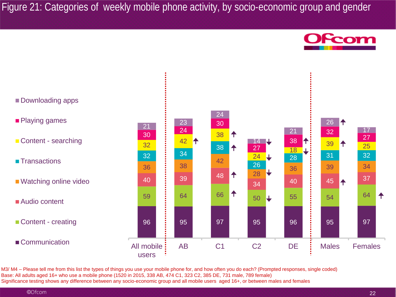Figure 21: Categories of weekly mobile phone activity, by socio-economic group and gender





M3/ M4 – Please tell me from this list the types of things you use your mobile phone for, and how often you do each? (Prompted responses, single coded) Base: All adults aged 16+ who use a mobile phone (1520 in 2015, 338 AB, 474 C1, 323 C2, 385 DE, 731 male, 789 female) Significance testing shows any difference between any socio-economic group and all mobile users aged 16+, or between males and females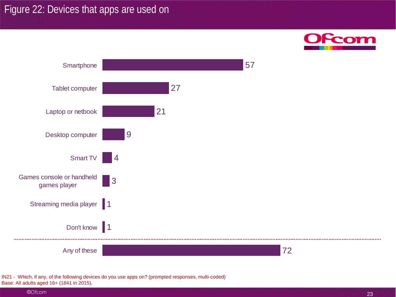## Figure 22: Devices that apps are used on





IN21 - Which, if any, of the following devices do you use apps on? (prompted responses, multi-coded) Base: All adults aged 16+ (1841 in 2015).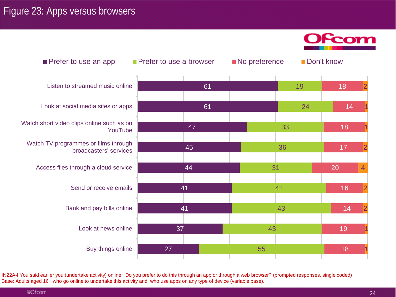### Figure 23: Apps versus browsers





IN22A-I You said earlier you (undertake activity) online. Do you prefer to do this through an app or through a web browser? (prompted responses, single coded) Base: Adults aged 16+ who go online to undertake this activity and who use apps on any type of device (variable base).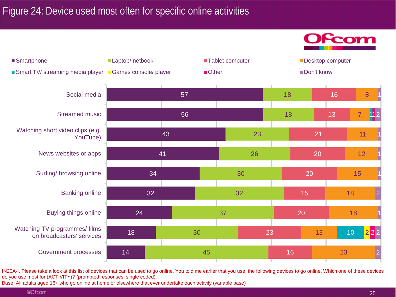# Figure 24: Device used most often for specific online activities





IN20A-I. Please take a look at this list of devices that can be used to go online. You told me earlier that you use the following devices to go online. Which one of these devices do you use most for (ACTIVITY)? (prompted responses, single coded).

Base: All adults aged 16+ who go online at home or elsewhere that ever undertake each activity (variable base)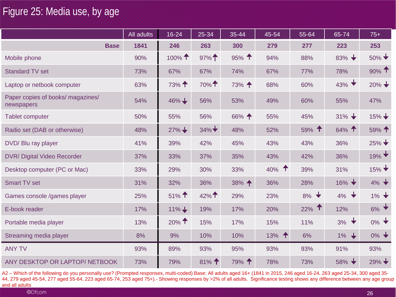# Figure 25: Media use, by age

|                                                 | All adults | 16-24               | 25-34          | 35-44              | 45-54               | 55-64                | 65-74               | $75+$               |
|-------------------------------------------------|------------|---------------------|----------------|--------------------|---------------------|----------------------|---------------------|---------------------|
| <b>Base</b>                                     | 1841       | 246                 | 263            | 300                | 279                 | 277                  | 223                 | 253                 |
| Mobile phone                                    | 90%        | 100% 1              | 97%            | $95%$ <sup>↑</sup> | 94%                 | 88%                  | $83\%$ $\downarrow$ | $50\% \star$        |
| <b>Standard TV set</b>                          | 73%        | 67%                 | 67%            | 74%                | 67%                 | 77%                  | 78%                 | 90% 1               |
| Laptop or netbook computer                      | 63%        | 73% 1               | 70%1           | 73% ↑              | 68%                 | 60%                  | $43\%$ $\star$      | $20\%$ $\downarrow$ |
| Paper copies of books/ magazines/<br>newspapers | 54%        | $46\%$ $\downarrow$ | 56%            | 53%                | 49%                 | 60%                  | 55%                 | 47%                 |
| <b>Tablet computer</b>                          | 50%        | 55%                 | 56%            | 66% ↑              | 55%                 | 45%                  | $31\%$ $\downarrow$ | $15\%$ $\downarrow$ |
| Radio set (DAB or otherwise)                    | 48%        | $27\%$ $\downarrow$ | $34\%$         | 48%                | 52%                 | 59% 1                | 64% 1               | 59% 个               |
| DVD/ Blu ray player                             | 41%        | 39%                 | 42%            | 45%                | 43%                 | 43%                  | 36%                 | $25\% \star$        |
| <b>DVR/ Digital Video Recorder</b>              | 37%        | 33%                 | 37%            | 35%                | 43%                 | 42%                  | 36%                 | $19\%$              |
| Desktop computer (PC or Mac)                    | 33%        | 29%                 | 30%            | 33%                | $40\%$ <sup>1</sup> | 39%                  | 31%                 | $15\%$ $\star$      |
| <b>Smart TV set</b>                             | 31%        | 32%                 | 36%            | 38% +              | 36%                 | 28%                  | $16\%$ $\downarrow$ | $4\%$ $\downarrow$  |
| Games console /games player                     | 25%        | 51% 1               | 42%1           | 29%                | 23%                 | ╈<br>8%              | $4\%$ $\rightarrow$ | $1\%$ $\rightarrow$ |
| E-book reader                                   | 17%        | $11\%$ $\downarrow$ | 19%            | 17%                | 20%                 | $\biguparrow$<br>22% | 12%                 | $6\%$ $\star$       |
| Portable media player                           | 13%        | $20%$ T             | 15%            | 17%                | 15%                 | 11%                  | $3\%$               | $0\%$ $\rightarrow$ |
| Streaming media player                          | 8%         | 9%                  | 10%            | 10%                | 13% $\uparrow$      | 6%                   | $1\%$ $\downarrow$  | $0\%$ $\rightarrow$ |
| <b>ANY TV</b>                                   | 93%        | 89%                 | 93%            | 95%                | 93%                 | 93%                  | 91%                 | 93%                 |
| ANY DESKTOP OR LAPTOP/NETBOOK                   | 73%        | 79%                 | 81% $\uparrow$ | 79% 1              | 78%                 | 73%                  | $58\%$ $\downarrow$ | $29\%$ $\downarrow$ |

A2 – Which of the following do you personally use? (Prompted responses, multi-coded) Base: All adults aged 16+ (1841 in 2015, 246 aged 16-24, 263 aged 25-34, 300 aged 35- 44, 279 aged 45-54, 277 aged 55-64, 223 aged 65-74, 253 aged 75+).- Showing responses by >2% of all adults. Significance testing shows any difference between any age group and all adults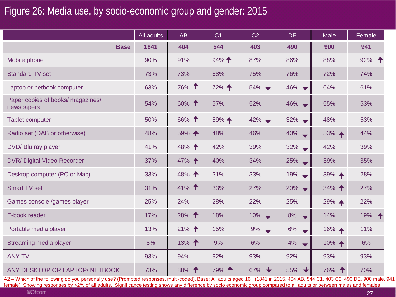## Figure 26: Media use, by socio-economic group and gender: 2015

|                                                 | All adults | <b>AB</b>          | C <sub>1</sub>      | C <sub>2</sub>      | <b>DE</b>                      | Male              | Female         |
|-------------------------------------------------|------------|--------------------|---------------------|---------------------|--------------------------------|-------------------|----------------|
| <b>Base</b>                                     | 1841       | 404                | 544                 | 403                 | 490                            | 900               | 941            |
| Mobile phone                                    | 90%        | 91%                | $94\%$ <del>1</del> | 87%                 | 86%                            | 88%               | 92% $\uparrow$ |
| <b>Standard TV set</b>                          | 73%        | 73%                | 68%                 | 75%                 | 76%                            | 72%               | 74%            |
| Laptop or netbook computer                      | 63%        | 76% 1              | 72% ↑               | $54\%$ $\downarrow$ | $46\%$ $\downarrow$            | 64%               | 61%            |
| Paper copies of books/ magazines/<br>newspapers | 54%        | 60% 1              | 57%                 | 52%                 | 46% +                          | 55%               | 53%            |
| <b>Tablet computer</b>                          | 50%        | 66% ↑              | 59% +               | $42\% +$            | $32\%$ $\downarrow$            | 48%               | 53%            |
| Radio set (DAB or otherwise)                    | 48%        | $59\%$ $\uparrow$  | 48%                 | 46%                 | 40%<br>┶                       | 53% +             | 44%            |
| DVD/ Blu ray player                             | 41%        | 48% 4              | 42%                 | 39%                 | 32%<br>┶                       | 42%               | 39%            |
| <b>DVR/ Digital Video Recorder</b>              | 37%        | 47% 4              | 40%                 | 34%                 | 25%<br>┶                       | 39%               | 35%            |
| Desktop computer (PC or Mac)                    | 33%        | 48% ↑              | 31%                 | 33%                 | 19% ↓                          | 39% +             | 28%            |
| <b>Smart TV set</b>                             | 31%        | 41% $\uparrow$     | 33%                 | 27%                 | $20\%$ $\downarrow$            | $34\%$ $\uparrow$ | 27%            |
| Games console /games player                     | 25%        | 24%                | 28%                 | 22%                 | 25%                            | 29% +             | 22%            |
| E-book reader                                   | 17%        | $28%$ <sup>4</sup> | 18%                 | $10\%$ $\downarrow$ | 8%<br>$\overline{\phantom{a}}$ | 14%               | 19% +          |
| Portable media player                           | 13%        | $21\%$ $\uparrow$  | 15%                 | $9\%$ $\downarrow$  | 6%<br>$\downarrow$             | 16% +             | 11%            |
| Streaming media player                          | 8%         | 13% $\uparrow$     | 9%                  | 6%                  | 4%<br>$\overline{\phantom{a}}$ | 10% +             | 6%             |
| <b>ANY TV</b>                                   | 93%        | 94%                | 92%                 | 93%                 | 92%                            | 93%               | 93%            |
| ANY DESKTOP OR LAPTOP/NETBOOK                   | 73%        | 88% 1              | 79% ↑               | 67%                 | 55%                            | 76% ↑             | 70%            |

A2 – Which of the following do you personally use? (Prompted responses, multi-coded). Base: All adults aged 16+ (1841 in 2015, 404 AB, 544 C1, 403 C2, 490 DE, 900 male, 941 female). Showing responses by >2% of all adults, Significance testing shows any difference by socio economic group compared to all adults or between males and females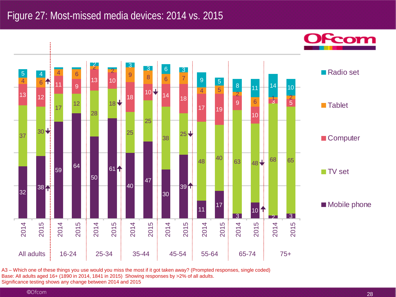### Figure 27: Most-missed media devices: 2014 vs. 2015



A3 – Which one of these things you use would you miss the most if it got taken away? (Prompted responses, single coded) Base: All adults aged 16+ (1890 in 2014, 1841 in 2015) Showing responses by >2% of all adults. Significance testing shows any change between 2014 and 2015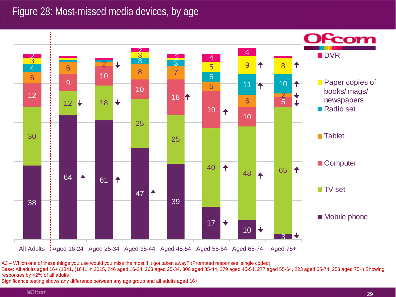## Figure 28: Most-missed media devices, by age



A3 – Which one of these things you use would you miss the most if it got taken away? (Prompted responses, single coded)

Base: All adults aged 16+ (1841, (1841 in 2015, 246 aged 16-24, 263 aged 25-34, 300 aged 35-44, 279 aged 45-54, 277 aged 55-64, 223 aged 65-74, 253 aged 75+) Showing responses by >2% of all adults

Significance testing shows any difference between any age group and all adults aged 16+